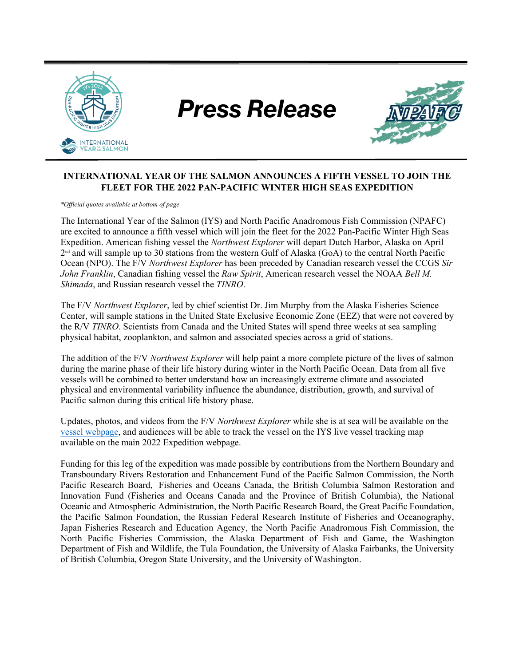

*Press Release*



# **INTERNATIONAL YEAR OF THE SALMON ANNOUNCES A FIFTH VESSEL TO JOIN THE FLEET FOR THE 2022 PAN-PACIFIC WINTER HIGH SEAS EXPEDITION**

*\*Official quotes available at bottom of page*

The International Year of the Salmon (IYS) and North Pacific Anadromous Fish Commission (NPAFC) are excited to announce a fifth vessel which will join the fleet for the 2022 Pan-Pacific Winter High Seas Expedition. American fishing vessel the *Northwest Explorer* will depart Dutch Harbor, Alaska on April  $2<sup>nd</sup>$  and will sample up to 30 stations from the western Gulf of Alaska (GoA) to the central North Pacific Ocean (NPO). The F/V *Northwest Explorer* has been preceded by Canadian research vessel the CCGS *Sir John Franklin*, Canadian fishing vessel the *Raw Spirit*, American research vessel the NOAA *Bell M. Shimada*, and Russian research vessel the *TINRO*.

The F/V *Northwest Explorer*, led by chief scientist Dr. Jim Murphy from the Alaska Fisheries Science Center, will sample stations in the United State Exclusive Economic Zone (EEZ) that were not covered by the R/V *TINRO*. Scientists from Canada and the United States will spend three weeks at sea sampling physical habitat, zooplankton, and salmon and associated species across a grid of stations.

The addition of the F/V *Northwest Explorer* will help paint a more complete picture of the lives of salmon during the marine phase of their life history during winter in the North Pacific Ocean. Data from all five vessels will be combined to better understand how an increasingly extreme climate and associated physical and environmental variability influence the abundance, distribution, growth, and survival of Pacific salmon during this critical life history phase.

Updates, photos, and videos from the F/V *Northwest Explorer* while she is at sea will be available on the [vessel webpage,](https://yearofthesalmon.org/northwest_explorer/) and audiences will be able to track the vessel on the IYS live vessel tracking map available on the main 2022 Expedition webpage.

Funding for this leg of the expedition was made possible by contributions from the Northern Boundary and Transboundary Rivers Restoration and Enhancement Fund of the Pacific Salmon Commission, the North Pacific Research Board, Fisheries and Oceans Canada, the British Columbia Salmon Restoration and Innovation Fund (Fisheries and Oceans Canada and the Province of British Columbia), the National Oceanic and Atmospheric Administration, the North Pacific Research Board, the Great Pacific Foundation, the Pacific Salmon Foundation, the Russian Federal Research Institute of Fisheries and Oceanography, Japan Fisheries Research and Education Agency, the North Pacific Anadromous Fish Commission, the North Pacific Fisheries Commission, the Alaska Department of Fish and Game, the Washington Department of Fish and Wildlife, the Tula Foundation, the University of Alaska Fairbanks, the University of British Columbia, Oregon State University, and the University of Washington.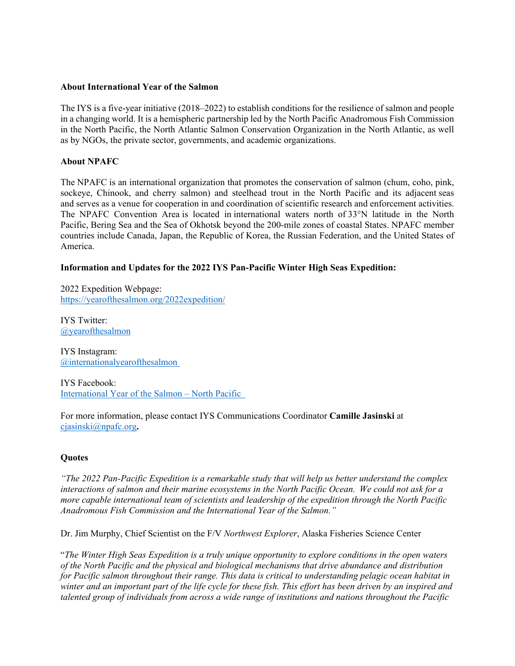#### **About International Year of the Salmon**

The IYS is a five-year initiative (2018–2022) to establish conditions for the resilience of salmon and people in a changing world. It is a hemispheric partnership led by the North Pacific Anadromous Fish Commission in the North Pacific, the North Atlantic Salmon Conservation Organization in the North Atlantic, as well as by NGOs, the private sector, governments, and academic organizations.

### **About NPAFC**

The NPAFC is an international organization that promotes the conservation of salmon (chum, coho, pink, sockeye, Chinook, and cherry salmon) and steelhead trout in the North Pacific and its adjacent seas and serves as a venue for cooperation in and coordination of scientific research and enforcement activities. The NPAFC Convention Area is located in international waters north of 33°N latitude in the North Pacific, Bering Sea and the Sea of Okhotsk beyond the 200-mile zones of coastal States. NPAFC member countries include Canada, Japan, the Republic of Korea, the Russian Federation, and the United States of America.

## **Information and Updates for the 2022 IYS Pan-Pacific Winter High Seas Expedition:**

2022 Expedition Webpage: <https://yearofthesalmon.org/2022expedition/>

IYS Twitter: [@yearofthesalmon](https://twitter.com/yearofthesalmon) 

IYS Instagram: [@internationalyearofthesalmon](https://www.instagram.com/internationalyearofthesalmon/)

IYS Facebook: International Year [of the Salmon – North](https://www.facebook.com/yearofthesalmon) Pacific

For more information, please contact IYS Communications Coordinator **Camille Jasinski** at [cjasinski@npafc.org](mailto:cjasinski@npafc.org)**.**

### **Quotes**

*"The 2022 Pan-Pacific Expedition is a remarkable study that will help us better understand the complex interactions of salmon and their marine ecosystems in the North Pacific Ocean.  We could not ask for a more capable international team of scientists and leadership of the expedition through the North Pacific Anadromous Fish Commission and the International Year of the Salmon."*

Dr. Jim Murphy, Chief Scientist on the F/V *Northwest Explorer*, Alaska Fisheries Science Center

"*The Winter High Seas Expedition is a truly unique opportunity to explore conditions in the open waters of the North Pacific and the physical and biological mechanisms that drive abundance and distribution for Pacific salmon throughout their range. This data is critical to understanding pelagic ocean habitat in winter and an important part of the life cycle for these fish. This effort has been driven by an inspired and talented group of individuals from across a wide range of institutions and nations throughout the Pacific*